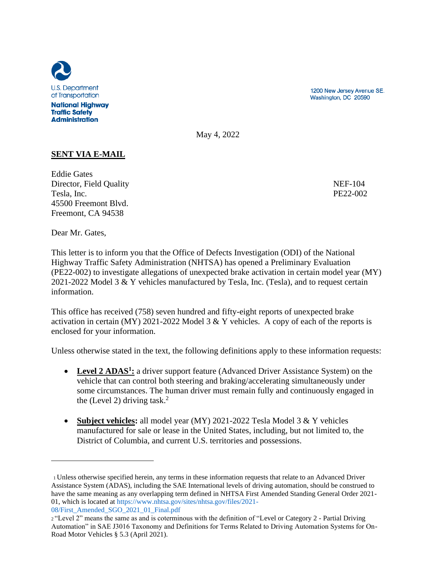

**Traffic Safety Administration** 

1200 New Jersey Avenue SE. Washington, DC 20590

May 4, 2022

# **SENT VIA E-MAIL**

Eddie Gates Director, Field Quality NEF-104 Tesla, Inc. PE22-002 45500 Freemont Blvd. Freemont, CA 94538

Dear Mr. Gates,

This letter is to inform you that the Office of Defects Investigation (ODI) of the National Highway Traffic Safety Administration (NHTSA) has opened a Preliminary Evaluation (PE22-002) to investigate allegations of unexpected brake activation in certain model year (MY) 2021-2022 Model 3 & Y vehicles manufactured by Tesla, Inc. (Tesla), and to request certain information.

This office has received (758) seven hundred and fifty-eight reports of unexpected brake activation in certain (MY) 2021-2022 Model 3 & Y vehicles. A copy of each of the reports is enclosed for your information.

Unless otherwise stated in the text, the following definitions apply to these information requests:

- **Level 2 ADAS<sup>1</sup> :** a driver support feature (Advanced Driver Assistance System) on the vehicle that can control both steering and braking/accelerating simultaneously under some circumstances. The human driver must remain fully and continuously engaged in the (Level 2) driving task.<sup>2</sup>
- **Subject vehicles:** all model year (MY) 2021-2022 Tesla Model 3 & Y vehicles manufactured for sale or lease in the United States, including, but not limited to, the District of Columbia, and current U.S. territories and possessions.

<sup>1</sup>Unless otherwise specified herein, any terms in these information requests that relate to an Advanced Driver Assistance System (ADAS), including the SAE International levels of driving automation, should be construed to have the same meaning as any overlapping term defined in NHTSA First Amended Standing General Order 2021- 01, which is located at https://www.nhtsa.gov/sites/nhtsa.gov/files/2021- 08/First\_Amended\_SGO\_2021\_01\_Final.pdf

<sup>2</sup>"Level 2" means the same as and is coterminous with the definition of "Level or Category 2 - Partial Driving Automation" in SAE J3016 Taxonomy and Definitions for Terms Related to Driving Automation Systems for On-Road Motor Vehicles § 5.3 (April 2021).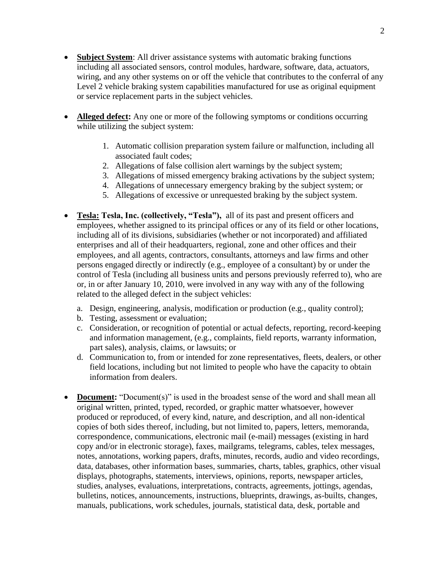- **Subject System**: All driver assistance systems with automatic braking functions including all associated sensors, control modules, hardware, software, data, actuators, wiring, and any other systems on or off the vehicle that contributes to the conferral of any Level 2 vehicle braking system capabilities manufactured for use as original equipment or service replacement parts in the subject vehicles.
- **Alleged defect:** Any one or more of the following symptoms or conditions occurring while utilizing the subject system:
	- 1. Automatic collision preparation system failure or malfunction, including all associated fault codes;
	- 2. Allegations of false collision alert warnings by the subject system;
	- 3. Allegations of missed emergency braking activations by the subject system;
	- 4. Allegations of unnecessary emergency braking by the subject system; or
	- 5. Allegations of excessive or unrequested braking by the subject system.
- **Tesla: Tesla, Inc. (collectively, "Tesla"),** all of its past and present officers and employees, whether assigned to its principal offices or any of its field or other locations, including all of its divisions, subsidiaries (whether or not incorporated) and affiliated enterprises and all of their headquarters, regional, zone and other offices and their employees, and all agents, contractors, consultants, attorneys and law firms and other persons engaged directly or indirectly (e.g., employee of a consultant) by or under the control of Tesla (including all business units and persons previously referred to), who are or, in or after January 10, 2010, were involved in any way with any of the following related to the alleged defect in the subject vehicles:
	- a. Design, engineering, analysis, modification or production (e.g., quality control);
	- b. Testing, assessment or evaluation;
	- c. Consideration, or recognition of potential or actual defects, reporting, record-keeping and information management, (e.g., complaints, field reports, warranty information, part sales), analysis, claims, or lawsuits; or
	- d. Communication to, from or intended for zone representatives, fleets, dealers, or other field locations, including but not limited to people who have the capacity to obtain information from dealers.
- **Document:** "Document(s)" is used in the broadest sense of the word and shall mean all original written, printed, typed, recorded, or graphic matter whatsoever, however produced or reproduced, of every kind, nature, and description, and all non-identical copies of both sides thereof, including, but not limited to, papers, letters, memoranda, correspondence, communications, electronic mail (e-mail) messages (existing in hard copy and/or in electronic storage), faxes, mailgrams, telegrams, cables, telex messages, notes, annotations, working papers, drafts, minutes, records, audio and video recordings, data, databases, other information bases, summaries, charts, tables, graphics, other visual displays, photographs, statements, interviews, opinions, reports, newspaper articles, studies, analyses, evaluations, interpretations, contracts, agreements, jottings, agendas, bulletins, notices, announcements, instructions, blueprints, drawings, as-builts, changes, manuals, publications, work schedules, journals, statistical data, desk, portable and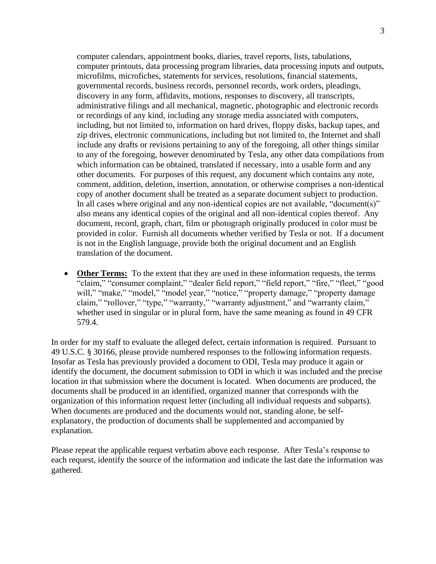computer calendars, appointment books, diaries, travel reports, lists, tabulations, computer printouts, data processing program libraries, data processing inputs and outputs, microfilms, microfiches, statements for services, resolutions, financial statements, governmental records, business records, personnel records, work orders, pleadings, discovery in any form, affidavits, motions, responses to discovery, all transcripts, administrative filings and all mechanical, magnetic, photographic and electronic records or recordings of any kind, including any storage media associated with computers, including, but not limited to, information on hard drives, floppy disks, backup tapes, and zip drives, electronic communications, including but not limited to, the Internet and shall include any drafts or revisions pertaining to any of the foregoing, all other things similar to any of the foregoing, however denominated by Tesla, any other data compilations from which information can be obtained, translated if necessary, into a usable form and any other documents. For purposes of this request, any document which contains any note, comment, addition, deletion, insertion, annotation, or otherwise comprises a non-identical copy of another document shall be treated as a separate document subject to production. In all cases where original and any non-identical copies are not available, "document(s)" also means any identical copies of the original and all non-identical copies thereof. Any document, record, graph, chart, film or photograph originally produced in color must be provided in color. Furnish all documents whether verified by Tesla or not. If a document is not in the English language, provide both the original document and an English translation of the document.

**Other Terms:** To the extent that they are used in these information requests, the terms "claim," "consumer complaint," "dealer field report," "field report," "fire," "fleet," "good will," "make," "model," "model year," "notice," "property damage," "property damage claim," "rollover," "type," "warranty," "warranty adjustment," and "warranty claim," whether used in singular or in plural form, have the same meaning as found in 49 CFR 579.4.

In order for my staff to evaluate the alleged defect, certain information is required. Pursuant to 49 U.S.C. § 30166, please provide numbered responses to the following information requests. Insofar as Tesla has previously provided a document to ODI, Tesla may produce it again or identify the document, the document submission to ODI in which it was included and the precise location in that submission where the document is located. When documents are produced, the documents shall be produced in an identified, organized manner that corresponds with the organization of this information request letter (including all individual requests and subparts). When documents are produced and the documents would not, standing alone, be selfexplanatory, the production of documents shall be supplemented and accompanied by explanation.

Please repeat the applicable request verbatim above each response. After Tesla's response to each request, identify the source of the information and indicate the last date the information was gathered.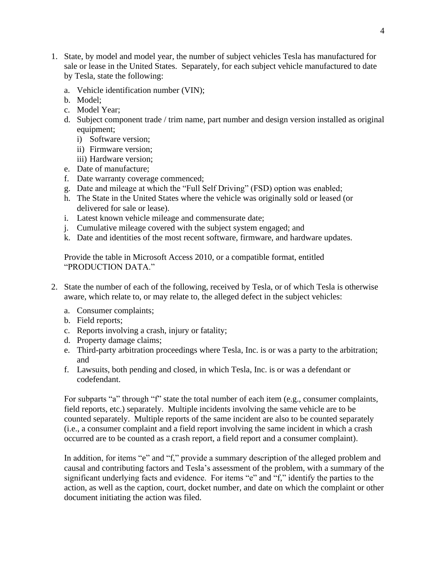- 1. State, by model and model year, the number of subject vehicles Tesla has manufactured for sale or lease in the United States. Separately, for each subject vehicle manufactured to date by Tesla, state the following:
	- a. Vehicle identification number (VIN);
	- b. Model;
	- c. Model Year;
	- d. Subject component trade / trim name, part number and design version installed as original equipment;
		- i) Software version;
		- ii) Firmware version;
		- iii) Hardware version;
	- e. Date of manufacture;
	- f. Date warranty coverage commenced;
	- g. Date and mileage at which the "Full Self Driving" (FSD) option was enabled;
	- h. The State in the United States where the vehicle was originally sold or leased (or delivered for sale or lease).
	- i. Latest known vehicle mileage and commensurate date;
	- j. Cumulative mileage covered with the subject system engaged; and
	- k. Date and identities of the most recent software, firmware, and hardware updates.

Provide the table in Microsoft Access 2010, or a compatible format, entitled "PRODUCTION DATA."

- 2. State the number of each of the following, received by Tesla, or of which Tesla is otherwise aware, which relate to, or may relate to, the alleged defect in the subject vehicles:
	- a. Consumer complaints;
	- b. Field reports;
	- c. Reports involving a crash, injury or fatality;
	- d. Property damage claims;
	- e. Third-party arbitration proceedings where Tesla, Inc. is or was a party to the arbitration; and
	- f. Lawsuits, both pending and closed, in which Tesla, Inc. is or was a defendant or codefendant.

For subparts "a" through "f" state the total number of each item (e.g., consumer complaints, field reports, etc.) separately. Multiple incidents involving the same vehicle are to be counted separately. Multiple reports of the same incident are also to be counted separately (i.e., a consumer complaint and a field report involving the same incident in which a crash occurred are to be counted as a crash report, a field report and a consumer complaint).

In addition, for items "e" and "f," provide a summary description of the alleged problem and causal and contributing factors and Tesla's assessment of the problem, with a summary of the significant underlying facts and evidence. For items "e" and "f," identify the parties to the action, as well as the caption, court, docket number, and date on which the complaint or other document initiating the action was filed.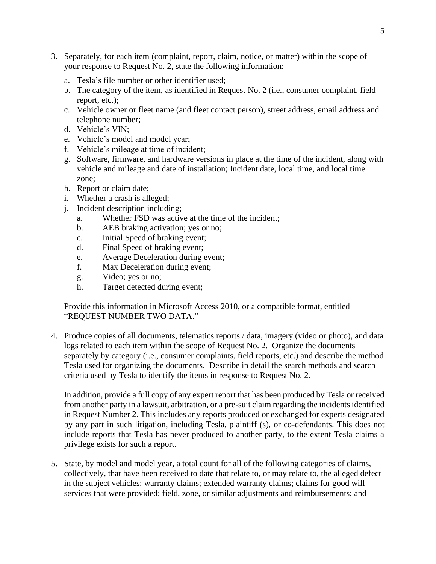- 3. Separately, for each item (complaint, report, claim, notice, or matter) within the scope of your response to Request No. 2, state the following information:
	- a. Tesla's file number or other identifier used;
	- b. The category of the item, as identified in Request No. 2 (i.e., consumer complaint, field report, etc.);
	- c. Vehicle owner or fleet name (and fleet contact person), street address, email address and telephone number;
	- d. Vehicle's VIN;
	- e. Vehicle's model and model year;
	- f. Vehicle's mileage at time of incident;
	- g. Software, firmware, and hardware versions in place at the time of the incident, along with vehicle and mileage and date of installation; Incident date, local time, and local time zone;
	- h. Report or claim date;
	- i. Whether a crash is alleged;
	- j. Incident description including;
		- a. Whether FSD was active at the time of the incident;
		- b. AEB braking activation; yes or no;
		- c. Initial Speed of braking event;
		- d. Final Speed of braking event;
		- e. Average Deceleration during event;
		- f. Max Deceleration during event;
		- g. Video; yes or no;
		- h. Target detected during event;

Provide this information in Microsoft Access 2010, or a compatible format, entitled "REQUEST NUMBER TWO DATA."

4. Produce copies of all documents, telematics reports / data, imagery (video or photo), and data logs related to each item within the scope of Request No. 2. Organize the documents separately by category (i.e., consumer complaints, field reports, etc.) and describe the method Tesla used for organizing the documents. Describe in detail the search methods and search criteria used by Tesla to identify the items in response to Request No. 2.

In addition, provide a full copy of any expert report that has been produced by Tesla or received from another party in a lawsuit, arbitration, or a pre-suit claim regarding the incidents identified in Request Number 2. This includes any reports produced or exchanged for experts designated by any part in such litigation, including Tesla, plaintiff (s), or co-defendants. This does not include reports that Tesla has never produced to another party, to the extent Tesla claims a privilege exists for such a report.

5. State, by model and model year, a total count for all of the following categories of claims, collectively, that have been received to date that relate to, or may relate to, the alleged defect in the subject vehicles: warranty claims; extended warranty claims; claims for good will services that were provided; field, zone, or similar adjustments and reimbursements; and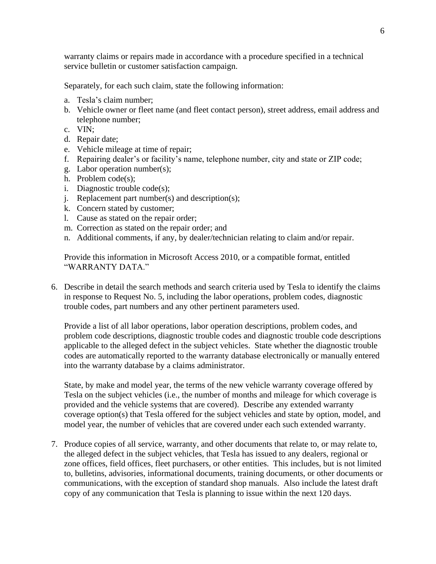warranty claims or repairs made in accordance with a procedure specified in a technical service bulletin or customer satisfaction campaign.

Separately, for each such claim, state the following information:

- a. Tesla's claim number;
- b. Vehicle owner or fleet name (and fleet contact person), street address, email address and telephone number;
- c. VIN;
- d. Repair date;
- e. Vehicle mileage at time of repair;
- f. Repairing dealer's or facility's name, telephone number, city and state or ZIP code;
- g. Labor operation number(s);
- h. Problem code(s);
- i. Diagnostic trouble code(s);
- j. Replacement part number(s) and description(s);
- k. Concern stated by customer;
- l. Cause as stated on the repair order;
- m. Correction as stated on the repair order; and
- n. Additional comments, if any, by dealer/technician relating to claim and/or repair.

Provide this information in Microsoft Access 2010, or a compatible format, entitled "WARRANTY DATA."

6. Describe in detail the search methods and search criteria used by Tesla to identify the claims in response to Request No. 5, including the labor operations, problem codes, diagnostic trouble codes*,* part numbers and any other pertinent parameters used.

Provide a list of all labor operations, labor operation descriptions, problem codes, and problem code descriptions, diagnostic trouble codes and diagnostic trouble code descriptions applicable to the alleged defect in the subject vehicles. State whether the diagnostic trouble codes are automatically reported to the warranty database electronically or manually entered into the warranty database by a claims administrator.

State, by make and model year, the terms of the new vehicle warranty coverage offered by Tesla on the subject vehicles (i.e., the number of months and mileage for which coverage is provided and the vehicle systems that are covered). Describe any extended warranty coverage option(s) that Tesla offered for the subject vehicles and state by option, model, and model year, the number of vehicles that are covered under each such extended warranty.

7. Produce copies of all service, warranty, and other documents that relate to, or may relate to, the alleged defect in the subject vehicles, that Tesla has issued to any dealers, regional or zone offices, field offices, fleet purchasers, or other entities. This includes, but is not limited to, bulletins, advisories, informational documents, training documents, or other documents or communications, with the exception of standard shop manuals. Also include the latest draft copy of any communication that Tesla is planning to issue within the next 120 days.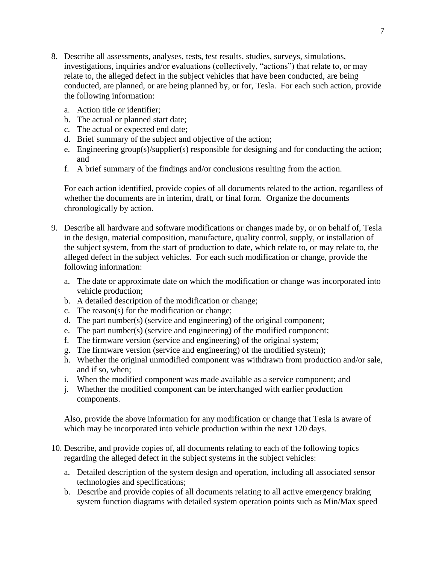- 8. Describe all assessments, analyses, tests, test results, studies, surveys, simulations, investigations, inquiries and/or evaluations (collectively, "actions") that relate to, or may relate to, the alleged defect in the subject vehicles that have been conducted, are being conducted, are planned, or are being planned by, or for, Tesla. For each such action, provide the following information:
	- a. Action title or identifier;
	- b. The actual or planned start date;
	- c. The actual or expected end date;
	- d. Brief summary of the subject and objective of the action;
	- e. Engineering group(s)/supplier(s) responsible for designing and for conducting the action; and
	- f. A brief summary of the findings and/or conclusions resulting from the action.

For each action identified, provide copies of all documents related to the action, regardless of whether the documents are in interim, draft, or final form. Organize the documents chronologically by action.

- 9. Describe all hardware and software modifications or changes made by, or on behalf of, Tesla in the design, material composition, manufacture, quality control, supply, or installation of the subject system, from the start of production to date, which relate to, or may relate to, the alleged defect in the subject vehicles. For each such modification or change, provide the following information:
	- a. The date or approximate date on which the modification or change was incorporated into vehicle production;
	- b. A detailed description of the modification or change;
	- c. The reason(s) for the modification or change;
	- d. The part number(s) (service and engineering) of the original component;
	- e. The part number(s) (service and engineering) of the modified component;
	- f. The firmware version (service and engineering) of the original system;
	- g. The firmware version (service and engineering) of the modified system);
	- h. Whether the original unmodified component was withdrawn from production and/or sale, and if so, when;
	- i. When the modified component was made available as a service component; and
	- j. Whether the modified component can be interchanged with earlier production components.

Also, provide the above information for any modification or change that Tesla is aware of which may be incorporated into vehicle production within the next 120 days.

- 10. Describe, and provide copies of, all documents relating to each of the following topics regarding the alleged defect in the subject systems in the subject vehicles:
	- a. Detailed description of the system design and operation, including all associated sensor technologies and specifications;
	- b. Describe and provide copies of all documents relating to all active emergency braking system function diagrams with detailed system operation points such as Min/Max speed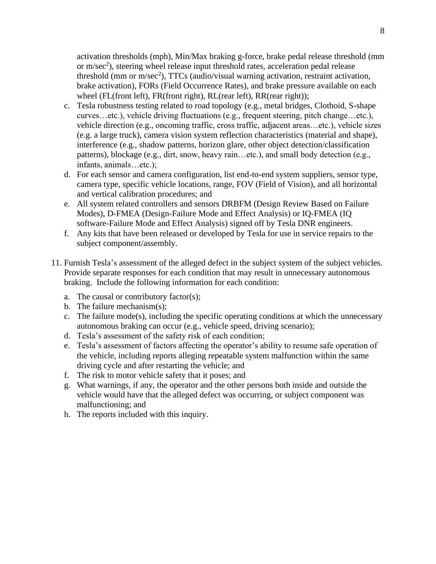activation thresholds (mph), Min/Max braking g-force, brake pedal release threshold (mm or m/sec<sup>2</sup>), steering wheel release input threshold rates, acceleration pedal release threshold (mm or m/sec<sup>2</sup>), TTCs (audio/visual warning activation, restraint activation, brake activation), FORs (Field Occurrence Rates), and brake pressure available on each wheel (FL(front left), FR(front right), RL(rear left), RR(rear right));

- c. Tesla robustness testing related to road topology (e.g., metal bridges, Clothoid, S-shape curves…etc.), vehicle driving fluctuations (e.g., frequent steering, pitch change…etc.), vehicle direction (e.g., oncoming traffic, cross traffic, adjacent areas…etc.), vehicle sizes (e.g. a large truck), camera vision system reflection characteristics (material and shape), interference (e.g., shadow patterns, horizon glare, other object detection/classification patterns), blockage (e.g., dirt, snow, heavy rain…etc.), and small body detection (e.g., infants, animals…etc.);
- d. For each sensor and camera configuration, list end-to-end system suppliers, sensor type, camera type, specific vehicle locations, range, FOV (Field of Vision), and all horizontal and vertical calibration procedures; and
- e. All system related controllers and sensors DRBFM (Design Review Based on Failure Modes), D-FMEA (Design-Failure Mode and Effect Analysis) or IQ-FMEA (IQ software-Failure Mode and Effect Analysis) signed off by Tesla DNR engineers.
- f. Any kits that have been released or developed by Tesla for use in service repairs to the subject component/assembly.
- 11. Furnish Tesla's assessment of the alleged defect in the subject system of the subject vehicles. Provide separate responses for each condition that may result in unnecessary autonomous braking. Include the following information for each condition:
	- a. The causal or contributory factor(s);
	- b. The failure mechanism(s);
	- c. The failure mode(s), including the specific operating conditions at which the unnecessary autonomous braking can occur (e.g., vehicle speed, driving scenario);
	- d. Tesla's assessment of the safety risk of each condition;
	- e. Tesla's assessment of factors affecting the operator's ability to resume safe operation of the vehicle, including reports alleging repeatable system malfunction within the same driving cycle and after restarting the vehicle; and
	- f. The risk to motor vehicle safety that it poses; and
	- g. What warnings, if any, the operator and the other persons both inside and outside the vehicle would have that the alleged defect was occurring, or subject component was malfunctioning; and
	- h. The reports included with this inquiry.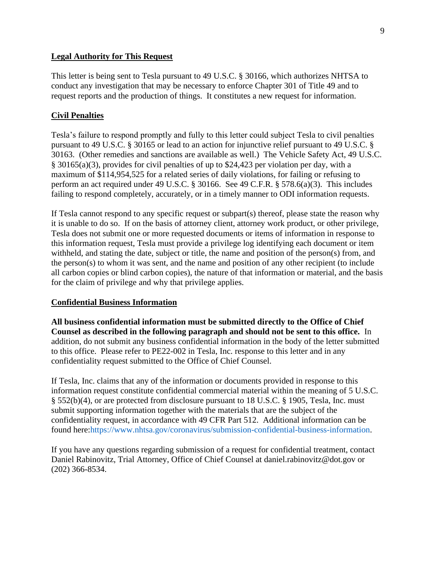#### **Legal Authority for This Request**

This letter is being sent to Tesla pursuant to 49 U.S.C. § 30166, which authorizes NHTSA to conduct any investigation that may be necessary to enforce Chapter 301 of Title 49 and to request reports and the production of things. It constitutes a new request for information.

### **Civil Penalties**

Tesla's failure to respond promptly and fully to this letter could subject Tesla to civil penalties pursuant to 49 U.S.C. § 30165 or lead to an action for injunctive relief pursuant to 49 U.S.C. § 30163. (Other remedies and sanctions are available as well.) The Vehicle Safety Act, 49 U.S.C. § 30165(a)(3), provides for civil penalties of up to \$24,423 per violation per day, with a maximum of \$114,954,525 for a related series of daily violations, for failing or refusing to perform an act required under 49 U.S.C. § 30166. See 49 C.F.R. § 578.6(a)(3). This includes failing to respond completely, accurately, or in a timely manner to ODI information requests.

If Tesla cannot respond to any specific request or subpart(s) thereof, please state the reason why it is unable to do so. If on the basis of attorney client, attorney work product, or other privilege, Tesla does not submit one or more requested documents or items of information in response to this information request, Tesla must provide a privilege log identifying each document or item withheld, and stating the date, subject or title, the name and position of the person(s) from, and the person(s) to whom it was sent, and the name and position of any other recipient (to include all carbon copies or blind carbon copies), the nature of that information or material, and the basis for the claim of privilege and why that privilege applies.

#### **Confidential Business Information**

**All business confidential information must be submitted directly to the Office of Chief Counsel as described in the following paragraph and should not be sent to this office.** In addition, do not submit any business confidential information in the body of the letter submitted to this office. Please refer to PE22-002 in Tesla, Inc. response to this letter and in any confidentiality request submitted to the Office of Chief Counsel.

If Tesla, Inc. claims that any of the information or documents provided in response to this information request constitute confidential commercial material within the meaning of 5 U.S.C. § 552(b)(4), or are protected from disclosure pursuant to 18 U.S.C. § 1905, Tesla, Inc. must submit supporting information together with the materials that are the subject of the confidentiality request, in accordance with 49 CFR Part 512. Additional information can be found here:https://www.nhtsa.gov/coronavirus/submission-confidential-business-information.

If you have any questions regarding submission of a request for confidential treatment, contact Daniel Rabinovitz, Trial Attorney, Office of Chief Counsel at daniel.rabinovitz@dot.gov or (202) 366-8534.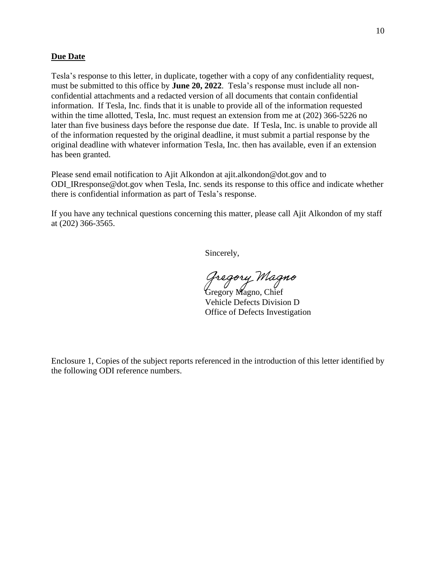#### **Due Date**

Tesla's response to this letter, in duplicate, together with a copy of any confidentiality request, must be submitted to this office by **June 20, 2022**. Tesla's response must include all nonconfidential attachments and a redacted version of all documents that contain confidential information. If Tesla, Inc. finds that it is unable to provide all of the information requested within the time allotted, Tesla, Inc. must request an extension from me at (202) 366-5226 no later than five business days before the response due date. If Tesla, Inc. is unable to provide all of the information requested by the original deadline, it must submit a partial response by the original deadline with whatever information Tesla, Inc. then has available, even if an extension has been granted.

Please send email notification to Ajit Alkondon at ajit.alkondon@dot.gov and to ODI\_IRresponse@dot.gov when Tesla, Inc. sends its response to this office and indicate whether there is confidential information as part of Tesla's response.

If you have any technical questions concerning this matter, please call Ajit Alkondon of my staff at (202) 366-3565.

Sincerely,

*Gregory Magno*<br>Gregory Magno, Chief

Vehicle Defects Division D Office of Defects Investigation

Enclosure 1, Copies of the subject reports referenced in the introduction of this letter identified by the following ODI reference numbers.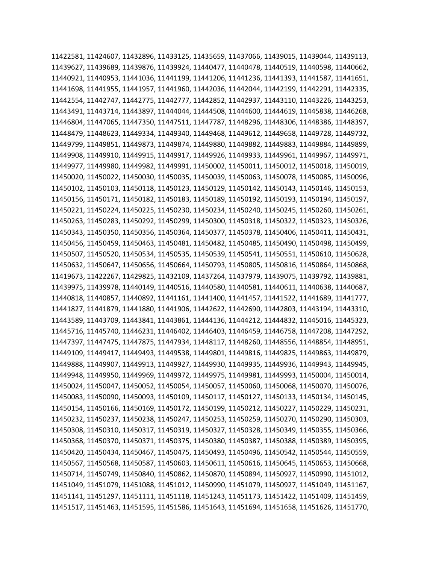11422581, 11424607, 11432896, 11433125, 11435659, 11437066, 11439015, 11439044, 11439113, 11439627, 11439689, 11439876, 11439924, 11440477, 11440478, 11440519, 11440598, 11440662, 11440921, 11440953, 11441036, 11441199, 11441206, 11441236, 11441393, 11441587, 11441651, 11441698, 11441955, 11441957, 11441960, 11442036, 11442044, 11442199, 11442291, 11442335, 11442554, 11442747, 11442775, 11442777, 11442852, 11442937, 11443110, 11443226, 11443253, 11443491, 11443714, 11443897, 11444044, 11444508, 11444600, 11444619, 11445838, 11446268, 11446804, 11447065, 11447350, 11447511, 11447787, 11448296, 11448306, 11448386, 11448397, 11448479, 11448623, 11449334, 11449340, 11449468, 11449612, 11449658, 11449728, 11449732, 11449799, 11449851, 11449873, 11449874, 11449880, 11449882, 11449883, 11449884, 11449899, 11449908, 11449910, 11449915, 11449917, 11449926, 11449933, 11449961, 11449967, 11449971, 11449977, 11449980, 11449982, 11449991, 11450002, 11450011, 11450012, 11450018, 11450019, 11450020, 11450022, 11450030, 11450035, 11450039, 11450063, 11450078, 11450085, 11450096, 11450102, 11450103, 11450118, 11450123, 11450129, 11450142, 11450143, 11450146, 11450153, 11450156, 11450171, 11450182, 11450183, 11450189, 11450192, 11450193, 11450194, 11450197, 11450221, 11450224, 11450225, 11450230, 11450234, 11450240, 11450245, 11450260, 11450261, 11450263, 11450283, 11450292, 11450299, 11450300, 11450318, 11450322, 11450323, 11450326, 11450343, 11450350, 11450356, 11450364, 11450377, 11450378, 11450406, 11450411, 11450431, 11450456, 11450459, 11450463, 11450481, 11450482, 11450485, 11450490, 11450498, 11450499, 11450507, 11450520, 11450534, 11450535, 11450539, 11450541, 11450551, 11450610, 11450628, 11450632, 11450647, 11450656, 11450664, 11450793, 11450805, 11450816, 11450864, 11450868, 11419673, 11422267, 11429825, 11432109, 11437264, 11437979, 11439075, 11439792, 11439881, 11439975, 11439978, 11440149, 11440516, 11440580, 11440581, 11440611, 11440638, 11440687, 11440818, 11440857, 11440892, 11441161, 11441400, 11441457, 11441522, 11441689, 11441777, 11441827, 11441879, 11441880, 11441906, 11442622, 11442690, 11442803, 11443194, 11443310, 11443589, 11443709, 11443841, 11443861, 11444136, 11444212, 11444832, 11445016, 11445323, 11445716, 11445740, 11446231, 11446402, 11446403, 11446459, 11446758, 11447208, 11447292, 11447397, 11447475, 11447875, 11447934, 11448117, 11448260, 11448556, 11448854, 11448951, 11449109, 11449417, 11449493, 11449538, 11449801, 11449816, 11449825, 11449863, 11449879, 11449888, 11449907, 11449913, 11449927, 11449930, 11449935, 11449936, 11449943, 11449945, 11449948, 11449950, 11449969, 11449972, 11449975, 11449981, 11449993, 11450004, 11450014, 11450024, 11450047, 11450052, 11450054, 11450057, 11450060, 11450068, 11450070, 11450076, 11450083, 11450090, 11450093, 11450109, 11450117, 11450127, 11450133, 11450134, 11450145, 11450154, 11450166, 11450169, 11450172, 11450199, 11450212, 11450227, 11450229, 11450231, 11450232, 11450237, 11450238, 11450247, 11450253, 11450259, 11450270, 11450290, 11450303, 11450308, 11450310, 11450317, 11450319, 11450327, 11450328, 11450349, 11450355, 11450366, 11450368, 11450370, 11450371, 11450375, 11450380, 11450387, 11450388, 11450389, 11450395, 11450420, 11450434, 11450467, 11450475, 11450493, 11450496, 11450542, 11450544, 11450559, 11450567, 11450568, 11450587, 11450603, 11450611, 11450616, 11450645, 11450653, 11450668, 11450714, 11450749, 11450840, 11450862, 11450870, 11450894, 11450927, 11450990, 11451012, 11451049, 11451079, 11451088, 11451012, 11450990, 11451079, 11450927, 11451049, 11451167, 11451141, 11451297, 11451111, 11451118, 11451243, 11451173, 11451422, 11451409, 11451459, 11451517, 11451463, 11451595, 11451586, 11451643, 11451694, 11451658, 11451626, 11451770,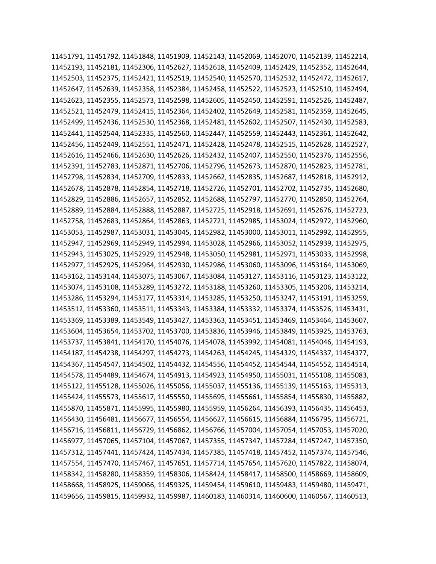11451791, 11451792, 11451848, 11451909, 11452143, 11452069, 11452070, 11452139, 11452214, 11452193, 11452181, 11452306, 11452627, 11452618, 11452409, 11452429, 11452352, 11452644, 11452503, 11452375, 11452421, 11452519, 11452540, 11452570, 11452532, 11452472, 11452617, 11452647, 11452639, 11452358, 11452384, 11452458, 11452522, 11452523, 11452510, 11452494, 11452623, 11452355, 11452573, 11452598, 11452605, 11452450, 11452591, 11452526, 11452487, 11452521, 11452479, 11452415, 11452364, 11452402, 11452649, 11452581, 11452359, 11452645, 11452499, 11452436, 11452530, 11452368, 11452481, 11452602, 11452507, 11452430, 11452583, 11452441, 11452544, 11452335, 11452560, 11452447, 11452559, 11452443, 11452361, 11452642, 11452456, 11452449, 11452551, 11452471, 11452428, 11452478, 11452515, 11452628, 11452527, 11452616, 11452466, 11452630, 11452626, 11452432, 11452407, 11452550, 11452376, 11452556, 11452391, 11452783, 11452871, 11452706, 11452796, 11452673, 11452870, 11452823, 11452781, 11452798, 11452834, 11452709, 11452833, 11452662, 11452835, 11452687, 11452818, 11452912, 11452678, 11452878, 11452854, 11452718, 11452726, 11452701, 11452702, 11452735, 11452680, 11452829, 11452886, 11452657, 11452852, 11452688, 11452797, 11452770, 11452850, 11452764, 11452889, 11452884, 11452888, 11452887, 11452725, 11452918, 11452691, 11452676, 11452723, 11452758, 11452683, 11452864, 11452863, 11452721, 11452985, 11453024, 11452972, 11452960, 11453053, 11452987, 11453031, 11453045, 11452982, 11453000, 11453011, 11452992, 11452955, 11452947, 11452969, 11452949, 11452994, 11453028, 11452966, 11453052, 11452939, 11452975, 11452943, 11453025, 11452929, 11452948, 11453050, 11452981, 11452971, 11453033, 11452998, 11452977, 11452925, 11452964, 11452930, 11452986, 11453060, 11453096, 11453164, 11453069, 11453162, 11453144, 11453075, 11453067, 11453084, 11453127, 11453116, 11453123, 11453122, 11453074, 11453108, 11453289, 11453272, 11453188, 11453260, 11453305, 11453206, 11453214, 11453286, 11453294, 11453177, 11453314, 11453285, 11453250, 11453247, 11453191, 11453259, 11453512, 11453360, 11453511, 11453343, 11453384, 11453332, 11453374, 11453526, 11453431, 11453369, 11453389, 11453549, 11453427, 11453363, 11453451, 11453469, 11453464, 11453607, 11453604, 11453654, 11453702, 11453700, 11453836, 11453946, 11453849, 11453925, 11453763, 11453737, 11453841, 11454170, 11454076, 11454078, 11453992, 11454081, 11454046, 11454193, 11454187, 11454238, 11454297, 11454273, 11454263, 11454245, 11454329, 11454337, 11454377, 11454367, 11454547, 11454502, 11454432, 11454556, 11454452, 11454544, 11454552, 11454514, 11454578, 11454489, 11454674, 11454913, 11454923, 11454950, 11455031, 11455108, 11455083, 11455122, 11455128, 11455026, 11455056, 11455037, 11455136, 11455139, 11455163, 11455313, 11455424, 11455573, 11455617, 11455550, 11455695, 11455661, 11455854, 11455830, 11455882, 11455870, 11455871, 11455995, 11455980, 11455959, 11456264, 11456393, 11456435, 11456453, 11456430, 11456481, 11456677, 11456554, 11456627, 11456615, 11456884, 11456795, 11456721, 11456716, 11456811, 11456729, 11456862, 11456766, 11457004, 11457054, 11457053, 11457020, 11456977, 11457065, 11457104, 11457067, 11457355, 11457347, 11457284, 11457247, 11457350, 11457312, 11457441, 11457424, 11457434, 11457385, 11457418, 11457452, 11457374, 11457546, 11457554, 11457470, 11457467, 11457651, 11457714, 11457654, 11457620, 11457822, 11458074, 11458342, 11458280, 11458359, 11458306, 11458424, 11458417, 11458500, 11458669, 11458609, 11458668, 11458925, 11459066, 11459325, 11459454, 11459610, 11459483, 11459480, 11459471, 11459656, 11459815, 11459932, 11459987, 11460183, 11460314, 11460600, 11460567, 11460513,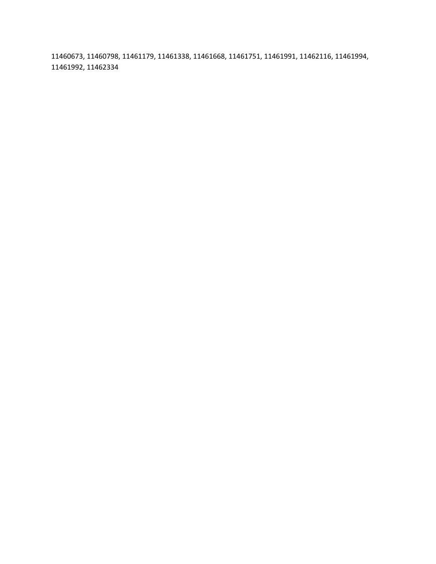11460673, 11460798, 11461179, 11461338, 11461668, 11461751, 11461991, 11462116, 11461994, 11461992, 11462334